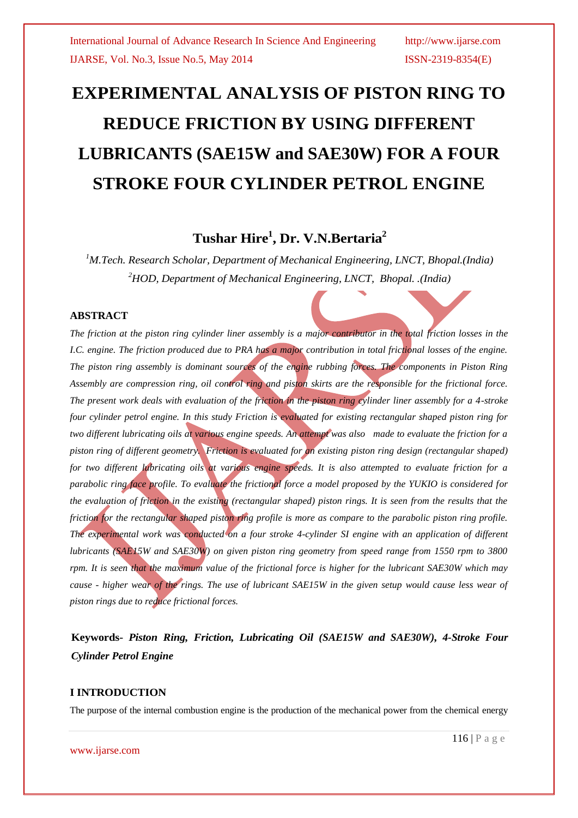# **EXPERIMENTAL ANALYSIS OF PISTON RING TO REDUCE FRICTION BY USING DIFFERENT LUBRICANTS (SAE15W and SAE30W) FOR A FOUR STROKE FOUR CYLINDER PETROL ENGINE**

# **Tushar Hire<sup>1</sup> , Dr. V.N.Bertaria<sup>2</sup>**

*<sup>1</sup>M.Tech. Research Scholar, Department of Mechanical Engineering, LNCT, Bhopal.(India) <sup>2</sup>HOD, Department of Mechanical Engineering, LNCT, Bhopal. .(India)*

# **ABSTRACT**

*The friction at the piston ring cylinder liner assembly is a major contributor in the total friction losses in the I.C. engine. The friction produced due to PRA has a major contribution in total frictional losses of the engine. The piston ring assembly is dominant sources of the engine rubbing forces. The components in Piston Ring Assembly are compression ring, oil control ring and piston skirts are the responsible for the frictional force. The present work deals with evaluation of the friction in the piston ring cylinder liner assembly for a 4-stroke four cylinder petrol engine. In this study Friction is evaluated for existing rectangular shaped piston ring for two different lubricating oils at various engine speeds. An attempt was also made to evaluate the friction for a*  piston ring of different geometry. Friction is evaluated for an existing piston ring design (rectangular shaped) *for two different lubricating oils at various engine speeds. It is also attempted to evaluate friction for a parabolic ring face profile. To evaluate the frictional force a model proposed by the YUKIO is considered for the evaluation of friction in the existing (rectangular shaped) piston rings. It is seen from the results that the friction for the rectangular shaped piston ring profile is more as compare to the parabolic piston ring profile. The experimental work was conducted on a four stroke 4-cylinder SI engine with an application of different lubricants (SAE15W and SAE30W) on given piston ring geometry from speed range from 1550 rpm to 3800 rpm. It is seen that the maximum value of the frictional force is higher for the lubricant SAE30W which may cause - higher wear of the rings. The use of lubricant SAE15W in the given setup would cause less wear of piston rings due to reduce frictional forces.*

**Keywords-** *Piston Ring, Friction, Lubricating Oil (SAE15W and SAE30W), 4-Stroke Four Cylinder Petrol Engine* 

# **I INTRODUCTION**

The purpose of the internal combustion engine is the production of the mechanical power from the chemical energy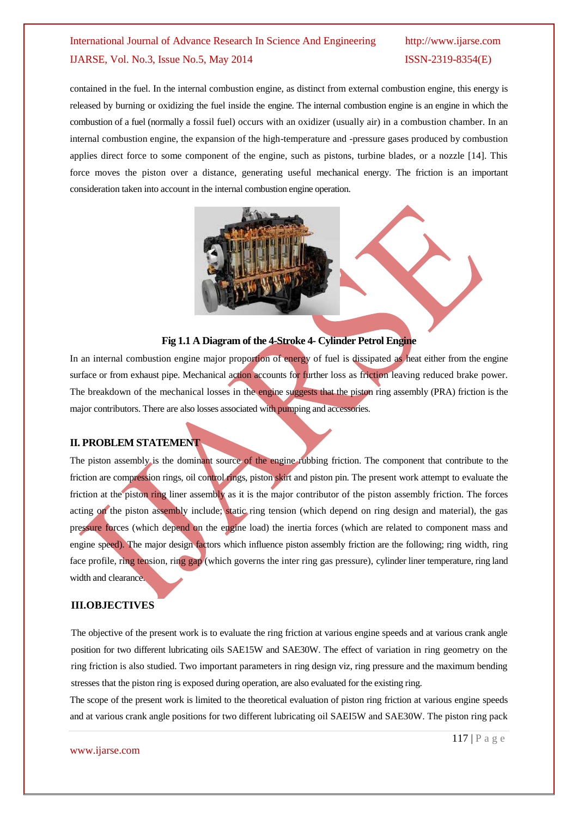contained in the fuel. In the internal combustion engine, as distinct from external combustion engine, this energy is released by burning or oxidizing the fuel inside the engine. The internal combustion engine is an engine in which the combustion of a fuel (normally a fossil fuel) occurs with an oxidizer (usually air) in a combustion chamber. In an internal combustion engine, the expansion of the high-temperature and -pressure gases produced by combustion applies direct force to some component of the engine, such as pistons, turbine blades, or a nozzle [14]. This force moves the piston over a distance, generating useful mechanical energy. The friction is an important consideration taken into account in the internal combustion engine operation.



# **Fig 1.1 A Diagram of the 4-Stroke 4- Cylinder Petrol Engine**

In an internal combustion engine major proportion of energy of fuel is dissipated as heat either from the engine surface or from exhaust pipe. Mechanical action accounts for further loss as friction leaving reduced brake power. The breakdown of the mechanical losses in the engine suggests that the piston ring assembly (PRA) friction is the major contributors. There are also losses associated with pumping and accessories.

# **II. PROBLEM STATEMENT**

The piston assembly is the dominant source of the engine rubbing friction. The component that contribute to the friction are compression rings, oil control rings, piston skirt and piston pin. The present work attempt to evaluate the friction at the piston ring liner assembly as it is the major contributor of the piston assembly friction. The forces acting on the piston assembly include; static ring tension (which depend on ring design and material), the gas pressure forces (which depend on the engine load) the inertia forces (which are related to component mass and engine speed). The major design factors which influence piston assembly friction are the following; ring width, ring face profile, ring tension, ring gap (which governs the inter ring gas pressure), cylinder liner temperature, ring land width and clearance.

# **III.OBJECTIVES**

The objective of the present work is to evaluate the ring friction at various engine speeds and at various crank angle position for two different lubricating oils SAE15W and SAE30W. The effect of variation in ring geometry on the ring friction is also studied. Two important parameters in ring design viz, ring pressure and the maximum bending stresses that the piston ring is exposed during operation, are also evaluated for the existing ring.

The scope of the present work is limited to the theoretical evaluation of piston ring friction at various engine speeds and at various crank angle positions for two different lubricating oil SAEI5W and SAE30W. The piston ring pack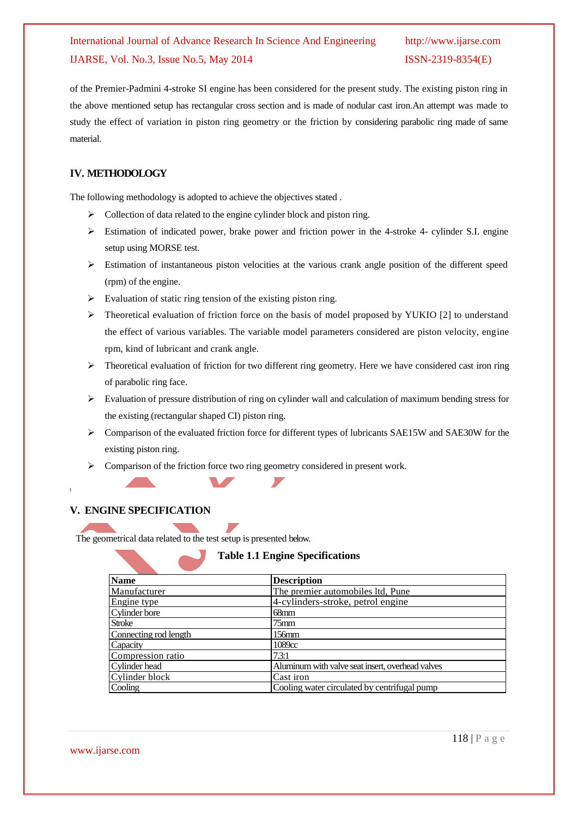of the Premier-Padmini 4-stroke SI engine has been considered for the present study. The existing piston ring in the above mentioned setup has rectangular cross section and is made of nodular cast iron.An attempt was made to study the effect of variation in piston ring geometry or the friction by considering parabolic ring made of same material.

# **IV. METHODOLOGY**

The following methodology is adopted to achieve the objectives stated .

- $\triangleright$  Collection of data related to the engine cylinder block and piston ring.
- $\triangleright$  Estimation of indicated power, brake power and friction power in the 4-stroke 4- cylinder S.I. engine setup using MORSE test.
- $\triangleright$  Estimation of instantaneous piston velocities at the various crank angle position of the different speed (rpm) of the engine.
- $\triangleright$  Evaluation of static ring tension of the existing piston ring.
- $\triangleright$  Theoretical evaluation of friction force on the basis of model proposed by YUKIO [2] to understand the effect of various variables. The variable model parameters considered are piston velocity, engine rpm, kind of lubricant and crank angle.
- $\triangleright$  Theoretical evaluation of friction for two different ring geometry. Here we have considered cast iron ring of parabolic ring face.
- $\triangleright$  Evaluation of pressure distribution of ring on cylinder wall and calculation of maximum bending stress for the existing (rectangular shaped CI) piston ring.
- $\triangleright$  Comparison of the evaluated friction force for different types of lubricants SAE15W and SAE30W for the existing piston ring.
- $\triangleright$  Comparison of the friction force two ring geometry considered in present work.

# **V. ENGINE SPECIFICATION**

The geometrical data related to the test setup is presented below.

# **Table 1.1 Engine Specifications**

| <b>Name</b>           | <b>Description</b>                               |
|-----------------------|--------------------------------------------------|
| Manufacturer          | The premier automobiles ltd, Pune                |
| Engine type           | 4-cylinders-stroke, petrol engine                |
| Cylinder bore         | 68mm                                             |
| <b>Stroke</b>         | $75$ mm                                          |
| Connecting rod length | $156$ mm                                         |
| Capacity              | 1089cc                                           |
| Compression ratio     | 7.3:1                                            |
| Cylinder head         | Aluminum with valve seat insert, overhead valves |
| Cylinder block        | Cast iron                                        |
| Cooling               | Cooling water circulated by centrifugal pump     |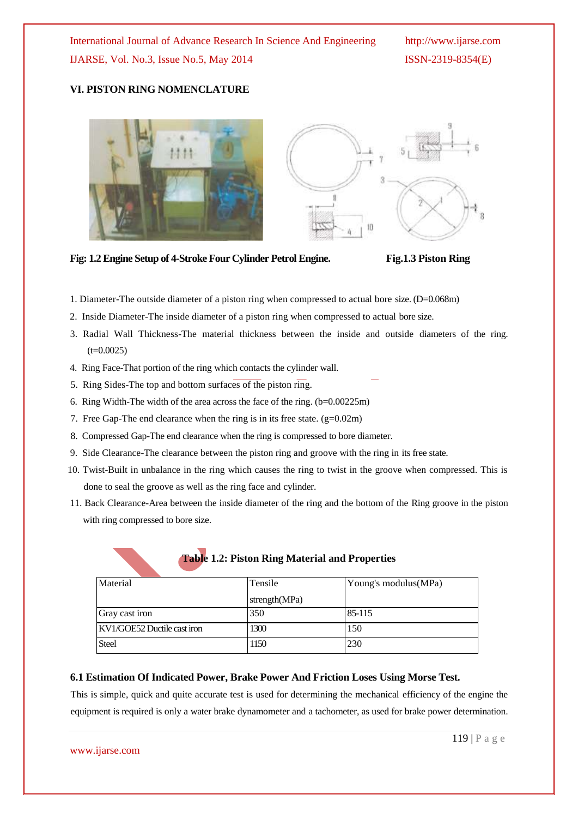### **VI. PISTON RING NOMENCLATURE**





**Fig: 1.2 Engine Setup of 4-Stroke Four Cylinder Petrol Engine. Fig.1.3 Piston Ring** 

- 1. Diameter-The outside diameter of a piston ring when compressed to actual bore size. (D=0.068m)
- 2. Inside Diameter-The inside diameter of a piston ring when compressed to actual bore size.
- 3. Radial Wall Thickness-The material thickness between the inside and outside diameters of the ring.  $(t=0.0025)$
- 4. Ring Face-That portion of the ring which contacts the cylinder wall.
- 5. Ring Sides-The top and bottom surfaces of the piston ring.
- 6. Ring Width-The width of the area across the face of the ring. (b=0.00225m)
- 7. Free Gap-The end clearance when the ring is in its free state. (g=0.02m)
- 8. Compressed Gap-The end clearance when the ring is compressed to bore diameter.
- 9. Side Clearance-The clearance between the piston ring and groove with the ring in its free state.
- 10. Twist-Built in unbalance in the ring which causes the ring to twist in the groove when compressed. This is done to seal the groove as well as the ring face and cylinder.
- 11. Back Clearance-Area between the inside diameter of the ring and the bottom of the Ring groove in the piston with ring compressed to bore size.

| Material                    | Tensile       | Young's modulus (MPa) |
|-----------------------------|---------------|-----------------------|
|                             | strength(MPa) |                       |
| Gray cast iron              | 350           | 85-115                |
| KV1/GOE52 Ductile cast iron | 1300          | 150                   |
| <b>Steel</b>                | 1150          | 230                   |

# **Table 1.2: Piston Ring Material and Properties**

### **6.1 Estimation Of Indicated Power, Brake Power And Friction Loses Using Morse Test.**

This is simple, quick and quite accurate test is used for determining the mechanical efficiency of the engine the equipment is required is only a water brake dynamometer and a tachometer, as used for brake power determination.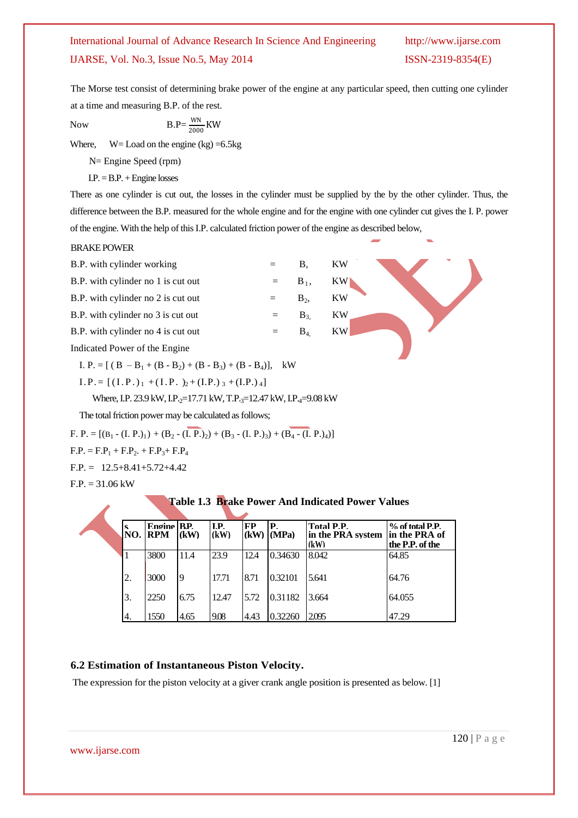The Morse test consist of determining brake power of the engine at any particular speed, then cutting one cylinder at a time and measuring B.P. of the rest.

Now  $B.P=\frac{WN}{2000}KW$ 

Where,  $W =$  Load on the engine (kg) = 6.5 kg

N= Engine Speed (rpm)

 $I.P. = B.P. + Engine losses$ 

There as one cylinder is cut out, the losses in the cylinder must be supplied by the by the other cylinder. Thus, the difference between the B.P. measured for the whole engine and for the engine with one cylinder cut gives the I. P. power of the engine. With the help of this I.P. calculated friction power of the engine as described below,

### BRAKE POWER

| B.P. with cylinder working                                   |     | В.      | KW |  |  |  |
|--------------------------------------------------------------|-----|---------|----|--|--|--|
| B.P. with cylinder no 1 is cut out                           | $=$ | $B_1$ , | KW |  |  |  |
| B.P. with cylinder no 2 is cut out                           | $=$ | $B_2$   | KW |  |  |  |
| B.P. with cylinder no 3 is cut out                           |     | $B_{3}$ | KW |  |  |  |
| B.P. with cylinder no 4 is cut out                           | $=$ | $B_4$   | KW |  |  |  |
| Indicated Power of the Engine                                |     |         |    |  |  |  |
| I. P. = $[(B - B_1 + (B - B_2) + (B - B_3) + (B - B_4)],$ kW |     |         |    |  |  |  |

 $I.P. = [(I.P.)<sub>1</sub> + (I.P.)<sub>2</sub> + (I.P.)<sub>3</sub> + (I.P.)<sub>4</sub>]$ 

Where, I.P. 23.9 kW, I.P.<sub>2</sub>=17.71 kW, T.P.<sub>3</sub>=12.47 kW, I.P.<sub>4</sub>=9.08 kW

The total friction power may be calculated as follows;

F. P. =  $[(B_1 - (I, P_1)_1) + (B_2 - (I, P_2)_2) + (B_3 - (I, P_1)_3) + (B_4 - (I, P_2)_4)]$ 

 $F.P. = F.P<sub>1</sub> + F.P<sub>2</sub> + F.P<sub>3</sub> + F.P<sub>4</sub>$ 

 $F.P. = 12.5 + 8.41 + 5.72 + 4.42$ 

 $F.P. = 31.06 \text{ kW}$ 

### **Table 1.3 Brake Power And Indicated Power Values**

|  | <b>S</b><br>NO. | Engine RP.<br><b>RPM</b> | (kW)     | LP.<br>(kW) | FP   | IP.<br>$(KW)$ $(MPa)$ | <b>Total P.P.</b><br>in the PRA system<br>(kW) | $%$ of total P.P.<br>in the PRA of<br>the P.P. of the |
|--|-----------------|--------------------------|----------|-------------|------|-----------------------|------------------------------------------------|-------------------------------------------------------|
|  |                 | 3800                     | 11.4     | 23.9        | 12.4 | 0.34630               | 8.042                                          | 64.85                                                 |
|  | 2.              | 3000                     | <b>9</b> | 17.71       | 8.71 | 0.32101               | 5.641                                          | 64.76                                                 |
|  | 3.              | 2250                     | 6.75     | 12.47       | 5.72 | 0.31182               | 3.664                                          | 64.055                                                |
|  | 4.              | 1550                     | 4.65     | 9.08        | 4.43 | 0.32260               | 2.095                                          | 47.29                                                 |

# **6.2 Estimation of Instantaneous Piston Velocity.**

The expression for the piston velocity at a giver crank angle position is presented as below. [1]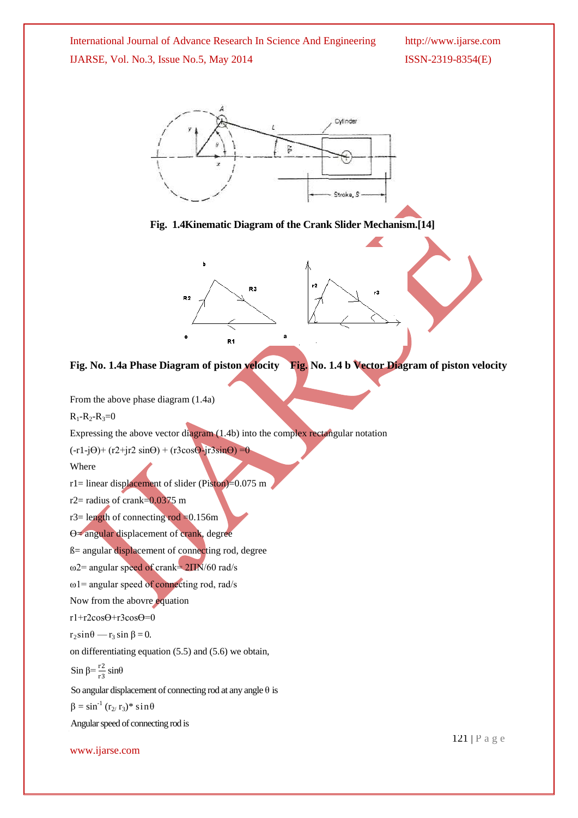

- $r3 =$  length of connecting rod = 0.156m
- $\Theta$ = angular displacement of crank, degree
- ß= angular displacement of connecting rod, degree
- ω2= angular speed of crank= 2ΠN/60 rad/s
- $\omega$ 1= angular speed of connecting rod, rad/s
- Now from the abovre equation
- r1+r2cosӨ+r3cosӨ=0
- $r_2\sin\theta r_3\sin\beta = 0$ .

on differentiating equation (5.5) and (5.6) we obtain,

$$
Sin \beta = \frac{r^2}{r^3} \sin\theta
$$

 $R_1 - R_2 - R_3 = 0$ 

Where

So angular displacement of connecting rod at any angle  $\theta$  is

 $\beta = \sin^{-1} (r_{2}/r_3)$ \* sin $\theta$ 

Angular speed of connecting rod is

www.ijarse.com

121 | P a g e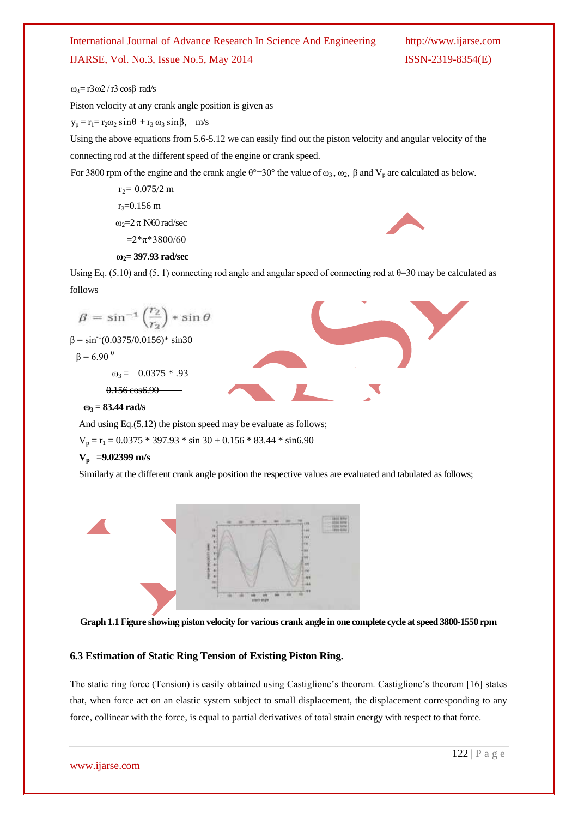$ω<sub>3</sub>=$  r3ω2 / r3 cosβ rad/s

Piston velocity at any crank angle position is given as

 $y_p = r_1 = r_2 \omega_2 \sin\theta + r_3 \omega_3 \sin\beta$ , m/s

Using the above equations from 5.6-5.12 we can easily find out the piston velocity and angular velocity of the connecting rod at the different speed of the engine or crank speed.

For 3800 rpm of the engine and the crank angle  $\theta^{\circ}=30^{\circ}$  the value of  $\omega_3$ ,  $\omega_2$ ,  $\beta$  and  $V_p$  are calculated as below.

 $r_2$ = 0.075/2 m  $r_3 = 0.156$  m  $ω<sub>2</sub>=2 π N/60 rad/sec$  $=2*\pi*3800/60$  **ω2= 397.93 rad/sec**



Using Eq. (5.10) and (5. 1) connecting rod angle and angular speed of connecting rod at  $\theta$ =30 may be calculated as follows

$$
β = sin-1 (r2) * sin θ
$$
  
\nβ = sin<sup>-1</sup>(0.0375/0.0156)\* sin30  
\nβ = 6.90<sup>0</sup>  
\nω<sub>3</sub> = 0.0375 \* .93  
\nθ.156 cos 6.90  
\nω<sub>3</sub> = 83.44 rad/s

And using Eq.(5.12) the piston speed may be evaluate as follows;

 $V_p = r_1 = 0.0375 * 397.93 * sin 30 + 0.156 * 83.44 * sin 6.90$ 

### **Vp =9.02399 m/s**

Similarly at the different crank angle position the respective values are evaluated and tabulated as follows;





### **6.3 Estimation of Static Ring Tension of Existing Piston Ring.**

The static ring force (Tension) is easily obtained using Castiglione's theorem. Castiglione's theorem [16] states that, when force act on an elastic system subject to small displacement, the displacement corresponding to any force, collinear with the force, is equal to partial derivatives of total strain energy with respect to that force.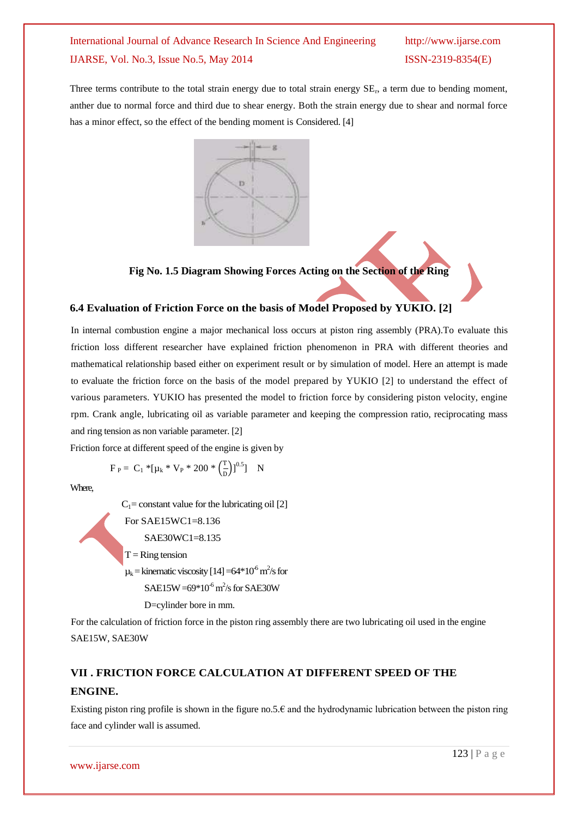Three terms contribute to the total strain energy due to total strain energy SE<sub>r</sub>, a term due to bending moment, anther due to normal force and third due to shear energy. Both the strain energy due to shear and normal force has a minor effect, so the effect of the bending moment is Considered. [4]



**Fig No. 1.5 Diagram Showing Forces Acting on the Section of the Ring**

### **6.4 Evaluation of Friction Force on the basis of Model Proposed by YUKIO. [2]**

In internal combustion engine a major mechanical loss occurs at piston ring assembly (PRA).To evaluate this friction loss different researcher have explained friction phenomenon in PRA with different theories and mathematical relationship based either on experiment result or by simulation of model. Here an attempt is made to evaluate the friction force on the basis of the model prepared by YUKIO [2] to understand the effect of various parameters. YUKIO has presented the model to friction force by considering piston velocity, engine rpm. Crank angle, lubricating oil as variable parameter and keeping the compression ratio, reciprocating mass and ring tension as non variable parameter. [2]

Friction force at different speed of the engine is given by

$$
F_P = C_1 * [\mu_k * V_P * 200 * (\frac{T}{D})]^{0.5} \quad N
$$

Where,

 $C_1$ = constant value for the lubricating oil [2] For SAE15WC1=8.136 SAE30WC1=8.135  $T =$ Ring tension  $\mu_k$  = kinematic viscosity [14] =64\*10<sup>-6</sup> m<sup>2</sup>/s for  $SAE15W = 69*10<sup>-6</sup> m<sup>2</sup>/s$  for SAE30W D=cylinder bore in mm.

For the calculation of friction force in the piston ring assembly there are two lubricating oil used in the engine SAE15W, SAE30W

# **VII . FRICTION FORCE CALCULATION AT DIFFERENT SPEED OF THE ENGINE.**

Existing piston ring profile is shown in the figure no.5. $\epsilon$  and the hydrodynamic lubrication between the piston ring face and cylinder wall is assumed.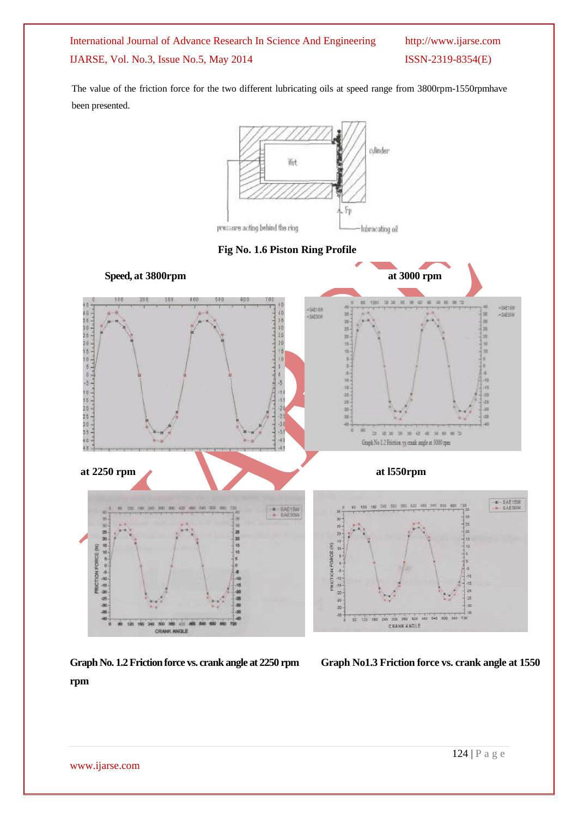The value of the friction force for the two different lubricating oils at speed range from 3800rpm-1550rpmhave been presented.







**Graph No. 1.2Friction force vs. crank angle at 2250 rpm Graph No1.3 Friction force vs. crank angle at 1550** 

**rpm**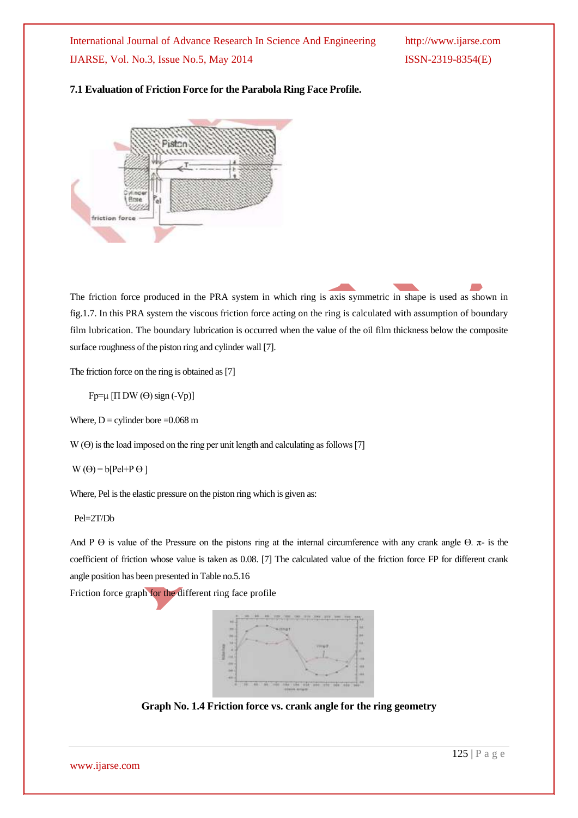### **7.1 Evaluation of Friction Force for the Parabola Ring Face Profile.**



The friction force produced in the PRA system in which ring is axis symmetric in shape is used as shown in fig.1.7. In this PRA system the viscous friction force acting on the ring is calculated with assumption of boundary film lubrication. The boundary lubrication is occurred when the value of the oil film thickness below the composite surface roughness of the piston ring and cylinder wall [7].

The friction force on the ring is obtained as [7]

 $Fp=\mu$  [Π DW ( $\Theta$ ) sign (-Vp)]

Where,  $D =$  cylinder bore = 0.068 m

 $W(\Theta)$  is the load imposed on the ring per unit length and calculating as follows [7]

$$
W(\Theta) = b[Pel + P \Theta]
$$

Where, Pel is the elastic pressure on the piston ring which is given as:

Pel=2T/Db

And P  $\Theta$  is value of the Pressure on the pistons ring at the internal circumference with any crank angle  $\Theta$ .  $\pi$ - is the coefficient of friction whose value is taken as 0.08. [7] The calculated value of the friction force FP for different crank angle position has been presented in Table no.5.16

Friction force graph for the different ring face profile



**Graph No. 1.4 Friction force vs. crank angle for the ring geometry**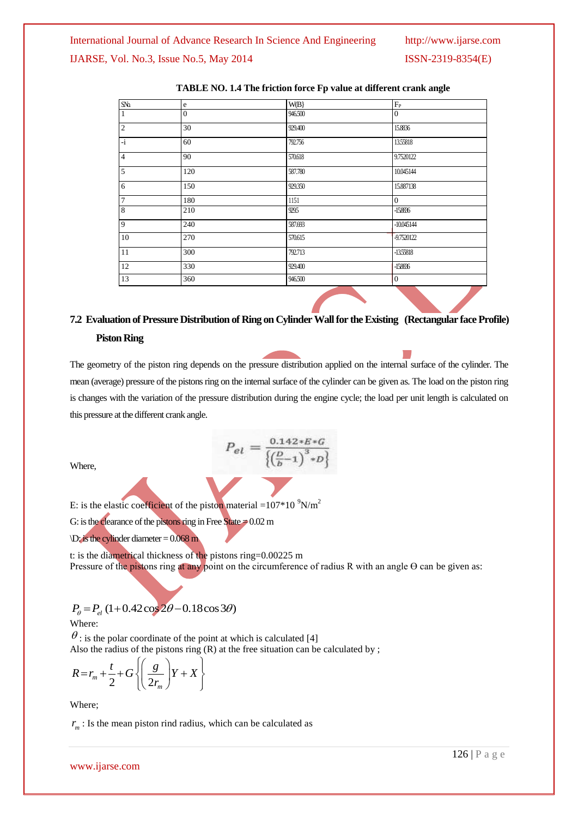| ${\rm S\!N\!o}$ | e              | W(B)    | $F_{P}$        |
|-----------------|----------------|---------|----------------|
| 1               | $\overline{0}$ | 946.500 | $\overline{0}$ |
| $\overline{2}$  | 30             | 929.400 | 15.8836        |
| l-i             | 60             | 792.756 | 13.55818       |
| $\overline{4}$  | 90             | 570.618 | 9.7520122      |
| $\overline{5}$  | 120            | 587.780 | 10.045144      |
| 6               | 150            | 929.350 | 15.887138      |
| $\overline{7}$  | 180            | 1151    | $\overline{0}$ |
| $\overline{8}$  | 210            | 9295    | $-158836$      |
| $\overline{9}$  | 240            | 587.693 | $-10045144$    |
| 10              | 270            | 570.615 | -9.7520122     |
| $\overline{11}$ | 300            | 792.713 | -1355818       |
| 12              | 330            | 929.400 | $-158836$      |
| 13              | 360            | 946.500 | $\overline{0}$ |

### **TABLE NO. 1.4 The friction force Fp value at different crank angle**

# **7.2 Evaluation of Pressure Distribution of Ring on Cylinder Wall for the Existing (Rectangular face Profile) Piston Ring**

The geometry of the piston ring depends on the pressure distribution applied on the internal surface of the cylinder. The mean (average) pressure of the pistons ring on the internal surface of the cylinder can be given as. The load on the piston ring is changes with the variation of the pressure distribution during the engine cycle; the load per unit length is calculated on this pressure at the different crank angle.

$$
P_{el} = \frac{0.142 * E * G}{\left\{ \left( \frac{D}{b} - 1 \right)^3 * D \right\}}
$$

Where,

E: is the elastic coefficient of the piston material =107\*10  $^9$ N/m<sup>2</sup>

G: is the clearance of the pistons ring in Free State  $\neq 0.02$  m

 $\D$ : is the cylinder diameter = 0.068 m

t: is the diametrical thickness of the pistons ring=0.00225 m Pressure of the pistons ring at any point on the circumference of radius R with an angle  $\Theta$  can be given as:

$$
P_{\theta} = P_{el} (1 + 0.42 \cos 2\theta - 0.18 \cos 3\theta)
$$

Where:

 $\theta$ : is the polar coordinate of the point at which is calculated [4]

Also the radius of the pistons ring (R) at the free situation can be calculated by ;  
\n
$$
R = r_m + \frac{t}{2} + G \left\{ \left( \frac{g}{2r_m} \right) Y + X \right\}
$$

Where;

 $r_m$ : Is the mean piston rind radius, which can be calculated as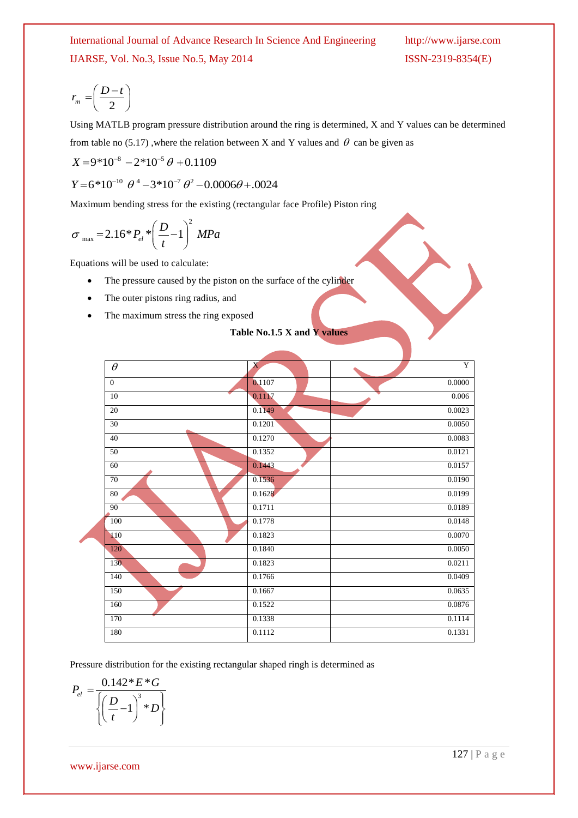$$
r_m = \left(\frac{D-t}{2}\right)
$$

Using MATLB program pressure distribution around the ring is determined, X and Y values can be determined from table no (5.17), where the relation between X and Y values and  $\theta$  can be given as

$$
X = 9*10^{-8} - 2*10^{-5} \theta + 0.1109
$$
  
 
$$
Y = 6*10^{-10} \theta^4 - 3*10^{-7} \theta^2 - 0.0006\theta + .0024
$$

Maximum bending stress for the existing (rectangular face Profile) Piston ring

$$
\sigma_{\text{max}} = 2.16 \times P_{el} \times \left(\frac{D}{t} - 1\right)^2 MPa
$$

Equations will be used to calculate:

- The pressure caused by the piston on the surface of the cylinder
- The outer pistons ring radius, and
- The maximum stress the ring exposed

### **Table No.1.5 X and Y values**

| $\theta$     | $\mathbf{X}$ |        | $\overline{Y}$ |
|--------------|--------------|--------|----------------|
| $\mathbf{0}$ | 0.1107       | 0.0000 |                |
| 10           | 0.1117       |        | 0.006          |
| 20           | 0.1149       | 0.0023 |                |
| 30           | 0.1201       | 0.0050 |                |
| 40           | 0.1270       | 0.0083 |                |
| 50           | 0.1352       | 0.0121 |                |
| 60           | 0.1443       | 0.0157 |                |
| 70           | 0.1536       | 0.0190 |                |
| $80\,$       | 0.1628       | 0.0199 |                |
| 90           | 0.1711       | 0.0189 |                |
| 100          | 0.1778       | 0.0148 |                |
| 110          | 0.1823       | 0.0070 |                |
| 120          | 0.1840       | 0.0050 |                |
| 130          | 0.1823       | 0.0211 |                |
| 140          | 0.1766       | 0.0409 |                |
| 150          | 0.1667       | 0.0635 |                |
| 160          | 0.1522       | 0.0876 |                |
| 170          | 0.1338       | 0.1114 |                |
| 180          | 0.1112       | 0.1331 |                |

Pressure distribution for the existing rectangular shaped ringh is determined as

$$
P_{el} = \frac{0.142 \times E \times G}{\left\{ \left( \frac{D}{t} - 1 \right)^3 \times D \right\}}
$$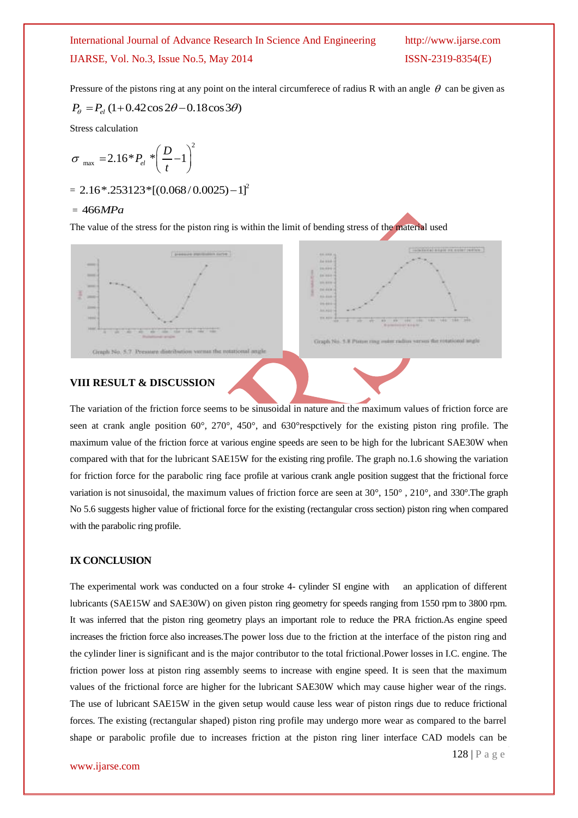Pressure of the pistons ring at any point on the interal circumferece of radius R with an angle  $\theta$  can be given as  $P_{\theta} = P_{el} (1 + 0.42 \cos 2\theta - 0.18 \cos 3\theta)$ 

$$
P_{\theta} = P_{el} \left( 1 + 0.42 \cos 2\theta - 0.18 \cos 3\theta \right)
$$

Stress calculation

$$
\sigma_{\text{max}} = 2.16 \cdot P_{el} \cdot \left(\frac{D}{t} - 1\right)^2
$$

$$
= 2.16*.253123*[(0.068/0.0025)-1]^2
$$

### = 466*MPa*

The value of the stress for the piston ring is within the limit of bending stress of the material used





### **VIII RESULT & DISCUSSION**

The variation of the friction force seems to be sinusoidal in nature and the maximum values of friction force are seen at crank angle position 60°, 270°, 450°, and 630°respctively for the existing piston ring profile. The maximum value of the friction force at various engine speeds are seen to be high for the lubricant SAE30W when compared with that for the lubricant SAE15W for the existing ring profile. The graph no.1.6 showing the variation for friction force for the parabolic ring face profile at various crank angle position suggest that the frictional force variation is not sinusoidal, the maximum values of friction force are seen at 30°, 150° , 210°, and 330°.The graph No 5.6 suggests higher value of frictional force for the existing (rectangular cross section) piston ring when compared with the parabolic ring profile.

### **IX CONCLUSION**

The experimental work was conducted on a four stroke 4- cylinder SI engine with an application of different lubricants (SAE15W and SAE30W) on given piston ring geometry for speeds ranging from 1550 rpm to 3800 rpm. It was inferred that the piston ring geometry plays an important role to reduce the PRA friction.As engine speed increases the friction force also increases.The power loss due to the friction at the interface of the piston ring and the cylinder liner is significant and is the major contributor to the total frictional.Power losses in I.C. engine. The friction power loss at piston ring assembly seems to increase with engine speed. It is seen that the maximum values of the frictional force are higher for the lubricant SAE30W which may cause higher wear of the rings. The use of lubricant SAE15W in the given setup would cause less wear of piston rings due to reduce frictional forces. The existing (rectangular shaped) piston ring profile may undergo more wear as compared to the barrel shape or parabolic profile due to increases friction at the piston ring liner interface CAD models can be

128 | P a g e